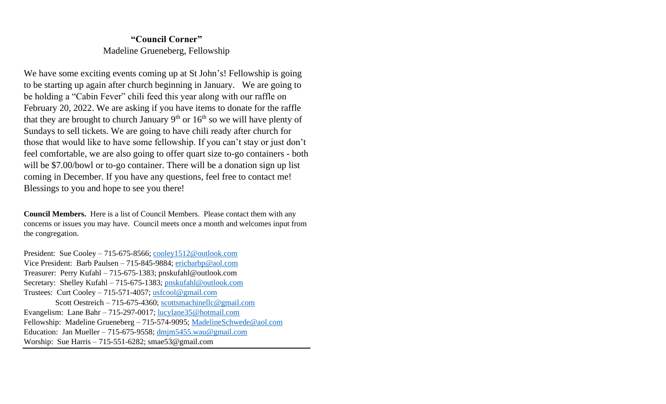# **"Council Corner"** Madeline Grueneberg, Fellowship

We have some exciting events coming up at St John's! Fellowship is going to be starting up again after church beginning in January. We are going to be holding a "Cabin Fever" chili feed this year along with our raffle on February 20, 2022. We are asking if you have items to donate for the raffle that they are brought to church January  $9<sup>th</sup>$  or  $16<sup>th</sup>$  so we will have plenty of Sundays to sell tickets. We are going to have chili ready after church for those that would like to have some fellowship. If you can't stay or just don't feel comfortable, we are also going to offer quart size to-go containers - both will be \$7.00/bowl or to-go container. There will be a donation sign up list coming in December. If you have any questions, feel free to contact me! Blessings to you and hope to see you there!

**Council Members.** Here is a list of Council Members. Please contact them with any concerns or issues you may have. Council meets once a month and welcomes input from the congregation.

President: Sue Cooley – 715-675-8566; [cooley1512@outlook.com](mailto:cooley1512@outlook.com) Vice President: Barb Paulsen – 715-845-9884; [ericbarbp@aol.com](mailto:ericbarbp@aol.com) Treasurer: Perry Kufahl – 715-675-1383; pnskufahl@outlook.com Secretary: Shelley Kufahl – 715-675-1383; [pnskufahl@outlook.com](mailto:pnskufahl@outlook.com) Trustees: Curt Cooley – 715-571-4057; [usfcool@gmail.com](mailto:usfcool@gmail.com) Scott Oestreich – 715-675-4360; [scottsmachinellc@gmail.com](mailto:scottsmachinellc@gmail.com) Evangelism: Lane Bahr – 715-297-0017; [lucylane35@hotmail.com](mailto:lucylane35@hotmail.com) Fellowship: Madeline Grueneberg – 715-574-9095; [MadelineSchwede@aol.com](mailto:MadelineSchwede@aol.com) Education: Jan Mueller – 715-675-9558;  $\frac{\text{dmin5455}}{\text{wau} \otimes \text{gmail.com}}$ Worship: Sue Harris – 715-551-6282; smae53@gmail.com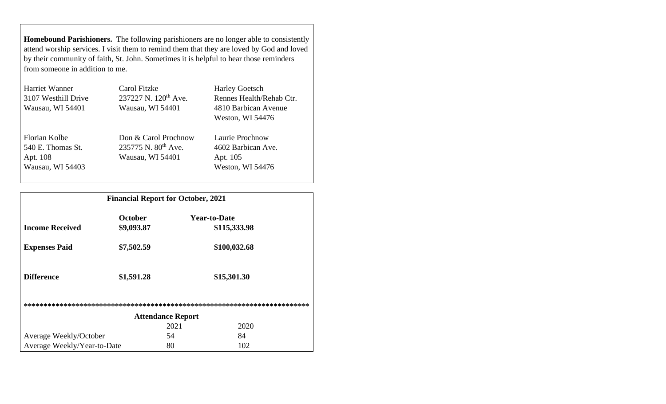**Homebound Parishioners.** The following parishioners are no longer able to consistently attend worship services. I visit them to remind them that they are loved by God and loved by their community of faith, St. John. Sometimes it is helpful to hear those reminders from someone in addition to me.

| Harriet Wanner      | Carol Fitzke                     | <b>Harley Goetsch</b>    |
|---------------------|----------------------------------|--------------------------|
| 3107 Westhill Drive | 237227 N. 120 <sup>th</sup> Ave. | Rennes Health/Rehab Ctr. |
| Wausau, WI 54401    | Wausau, WI 54401                 | 4810 Barbican Avenue     |
|                     |                                  | Weston, WI 54476         |
| Florian Kolbe       | Don & Carol Prochnow             | Laurie Prochnow          |
| 540 E. Thomas St.   | 235775 N. 80 <sup>th</sup> Ave.  | 4602 Barbican Ave.       |
| Apt. 108            | Wausau, WI 54401                 | Apt. 105                 |
| Wausau, WI 54403    |                                  | Weston, WI 54476         |
|                     |                                  |                          |

|                             | <b>Financial Report for October, 2021</b> |                          |              |  |
|-----------------------------|-------------------------------------------|--------------------------|--------------|--|
|                             | <b>October</b>                            | <b>Year-to-Date</b>      |              |  |
| <b>Income Received</b>      | \$9,093.87                                |                          | \$115,333.98 |  |
| <b>Expenses Paid</b>        | \$7,502.59                                |                          | \$100,032.68 |  |
| <b>Difference</b>           | \$1,591.28                                |                          | \$15,301.30  |  |
|                             |                                           |                          |              |  |
|                             |                                           | <b>Attendance Report</b> |              |  |
|                             |                                           | 2021                     | 2020         |  |
| Average Weekly/October      |                                           | 54                       | 84           |  |
| Average Weekly/Year-to-Date |                                           | 80                       | 102          |  |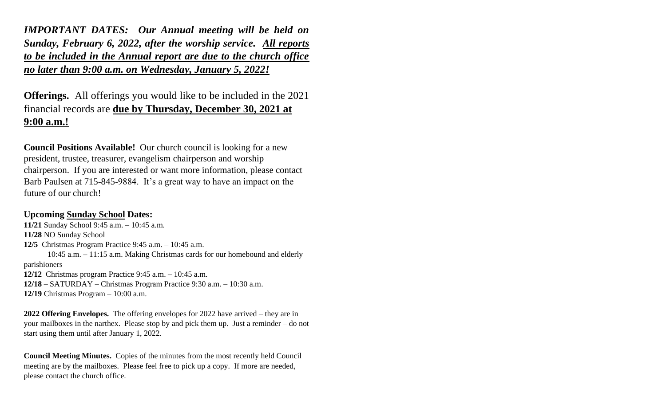*IMPORTANT DATES: Our Annual meeting will be held on Sunday, February 6, 2022, after the worship service. All reports to be included in the Annual report are due to the church office no later than 9:00 a.m. on Wednesday, January 5, 2022!* 

**Offerings.** All offerings you would like to be included in the 2021 financial records are **due by Thursday, December 30, 2021 at 9:00 a.m.!**

**Council Positions Available!** Our church council is looking for a new president, trustee, treasurer, evangelism chairperson and worship chairperson. If you are interested or want more information, please contact Barb Paulsen at 715-845-9884. It's a great way to have an impact on the future of our church!

# **Upcoming Sunday School Dates:**

**11/21** Sunday School 9:45 a.m. – 10:45 a.m. **11/28** NO Sunday School **12/5** Christmas Program Practice 9:45 a.m. – 10:45 a.m. 10:45 a.m. – 11:15 a.m. Making Christmas cards for our homebound and elderly parishioners **12/12** Christmas program Practice 9:45 a.m. – 10:45 a.m. **12/18** – SATURDAY – Christmas Program Practice 9:30 a.m. – 10:30 a.m. **12/19** Christmas Program – 10:00 a.m.

**2022 Offering Envelopes.** The offering envelopes for 2022 have arrived – they are in your mailboxes in the narthex. Please stop by and pick them up. Just a reminder – do not start using them until after January 1, 2022.

**Council Meeting Minutes.** Copies of the minutes from the most recently held Council meeting are by the mailboxes. Please feel free to pick up a copy. If more are needed, please contact the church office.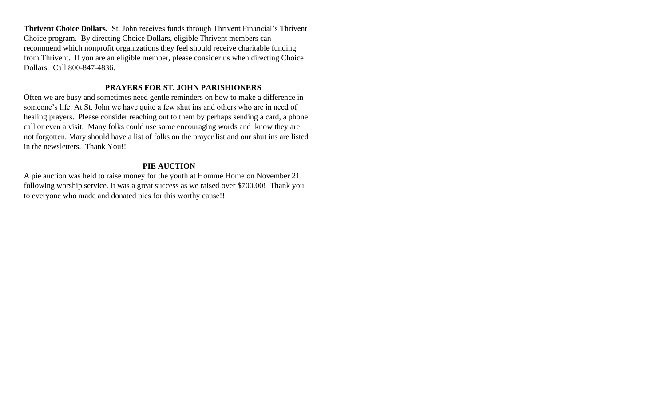**Thrivent Choice Dollars.** St. John receives funds through Thrivent Financial's Thrivent Choice program. By directing Choice Dollars, eligible Thrivent members can recommend which nonprofit organizations they feel should receive charitable funding from Thrivent. If you are an eligible member, please consider us when directing Choice Dollars. Call 800-847-4836.

#### **PRAYERS FOR ST. JOHN PARISHIONERS**

Often we are busy and sometimes need gentle reminders on how to make a difference in someone's life. At St. John we have quite a few shut ins and others who are in need of healing prayers. Please consider reaching out to them by perhaps sending a card, a phone call or even a visit. Many folks could use some encouraging words and know they are not forgotten. Mary should have a list of folks on the prayer list and our shut ins are listed in the newsletters. Thank You!!

# **PIE AUCTION**

A pie auction was held to raise money for the youth at Homme Home on November 21 following worship service. It was a great success as we raised over \$700.00! Thank you to everyone who made and donated pies for this worthy cause!!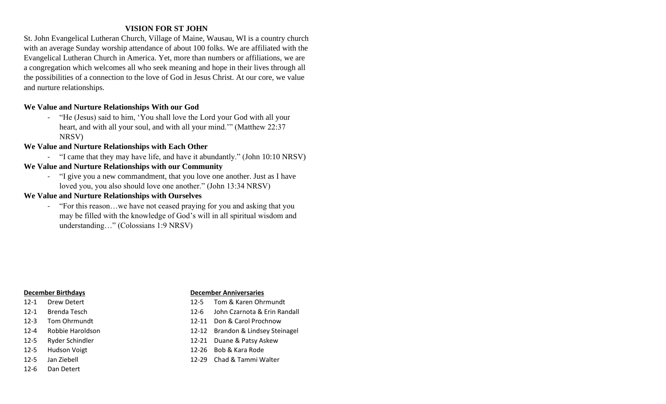## **VISION FOR ST JOHN**

St. John Evangelical Lutheran Church, Village of Maine, Wausau, WI is a country church with an average Sunday worship attendance of about 100 folks. We are affiliated with the Evangelical Lutheran Church in America. Yet, more than numbers or affiliations, we are a congregation which welcomes all who seek meaning and hope in their lives through all the possibilities of a connection to the love of God in Jesus Christ. At our core, we value and nurture relationships.

### **We Value and Nurture Relationships With our God**

- "He (Jesus) said to him, 'You shall love the Lord your God with all your heart, and with all your soul, and with all your mind.'" (Matthew 22:37 NRSV)

#### **We Value and Nurture Relationships with Each Other**

- "I came that they may have life, and have it abundantly." (John 10:10 NRSV)

# **We Value and Nurture Relationships with our Community**

- "I give you a new commandment, that you love one another. Just as I have loved you, you also should love one another." (John 13:34 NRSV)

### **We Value and Nurture Relationships with Ourselves**

- "For this reason…we have not ceased praying for you and asking that you may be filled with the knowledge of God's will in all spiritual wisdom and understanding…" (Colossians 1:9 NRSV)

- 
- 
- 
- 
- 
- 
- 
- 12-6 Dan Detert

#### **December Birthdays December Anniversaries**

- 12-1 Drew Detert 12-5 Tom & Karen Ohrmundt
- 12-1 Brenda Tesch 12-6 John Czarnota & Erin Randall
- 12-3 Tom Ohrmundt 12-11 Don & Carol Prochnow
- 12-4 Robbie Haroldson 12-12 Brandon & Lindsey Steinagel
- 12-5 Ryder Schindler 12-21 Duane & Patsy Askew
- 12-5 Hudson Voigt 12-26 Bob & Kara Rode
- 12-5 Jan Ziebell 12-29 Chad & Tammi Walter